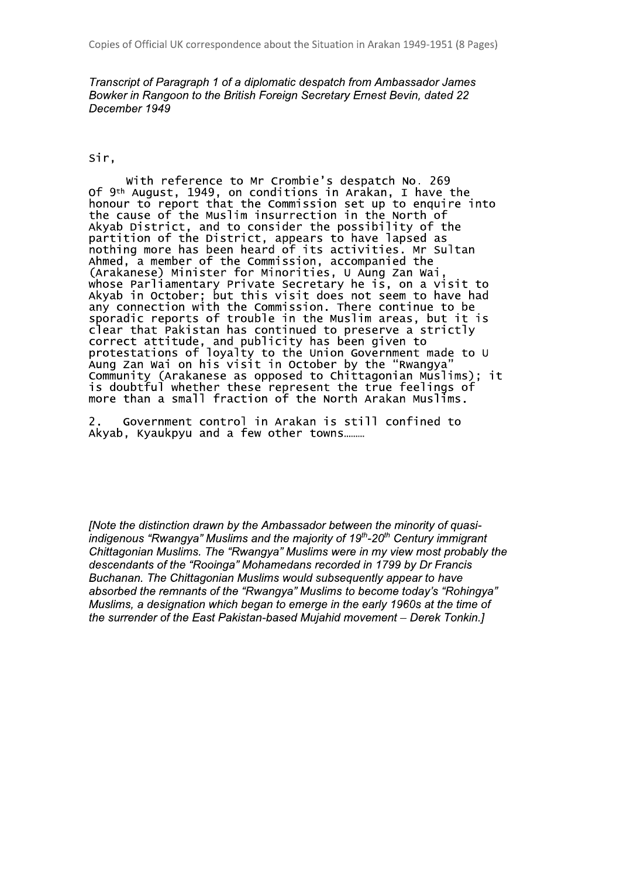Transcript of Paragraph 1 of a diplomatic despatch from Ambassador James Bowker in Rangoon to the British Foreign Secretary Ernest Bevin, dated 22 December 1949

## Sir.

With reference to Mr Crombie's despatch No. 269 of 9<sup>th</sup> August, 1949, on conditions in Arakan, I have the<br>honour to report that the Commission set up to enquire into<br>the cause of the Muslim insurrection in the North of Akyab District, and to consider the possibility of the<br>partition of the District, appears to have lapsed as<br>nothing more has been heard of its activities. Mr Sultan Ahmed, a member of the Commission, accompanied the (Arakanese) Minister for Minorities, U Aung Zan Wai whose Parliamentary Private Secretary he is, on a visit to Akyab in October; but this visit does not seem to have had<br>any connection with the Commission. There continue to be sporadic reports of trouble in the Muslim areas, but it is clear that Pakistan has continued to preserve a strictly correct attitude, and publicity has been given to<br>protestations of loyalty to the Union Government made to U Aung Zan Wai on his visit in October by the "Rwangya Community (Arakanese as opposed to Chittagonian Muslims); it is doubtful whether these represent the true feelings of more than a small fraction of the North Arakan Muslims.

 $\mathbf{2}$ . Government control in Arakan is still confined to Akyab, Kyaukpyu and a few other towns.........

[Note the distinction drawn by the Ambassador between the minority of quasiindigenous "Rwangya" Muslims and the majority of 19<sup>th</sup>-20<sup>th</sup> Century immigrant Chittagonian Muslims. The "Rwangya" Muslims were in my view most probably the descendants of the "Rooinga" Mohamedans recorded in 1799 by Dr Francis Buchanan. The Chittagonian Muslims would subsequently appear to have absorbed the remnants of the "Rwangya" Muslims to become today's "Rohingya" Muslims, a designation which began to emerge in the early 1960s at the time of the surrender of the East Pakistan-based Mujahid movement - Derek Tonkin.]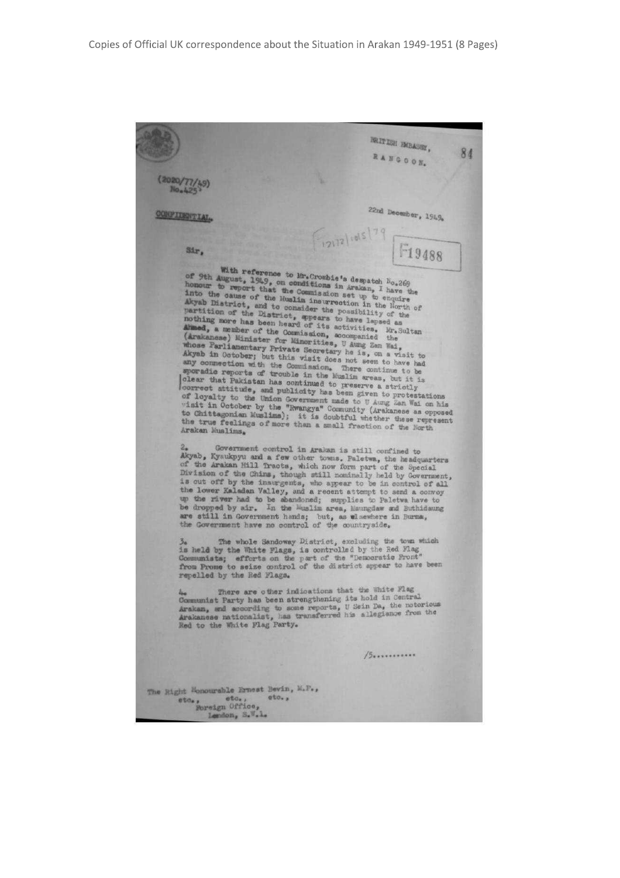|                                                                                                                | REITIGH PMBASSY,<br>RANGOON,                                                                                                                                                                                                                                                                                                                                                                                                                                                                                                                                                                                                                                                                                                                                                                                                                                                                                                                                                                                                                                                                                                                  |  |
|----------------------------------------------------------------------------------------------------------------|-----------------------------------------------------------------------------------------------------------------------------------------------------------------------------------------------------------------------------------------------------------------------------------------------------------------------------------------------------------------------------------------------------------------------------------------------------------------------------------------------------------------------------------------------------------------------------------------------------------------------------------------------------------------------------------------------------------------------------------------------------------------------------------------------------------------------------------------------------------------------------------------------------------------------------------------------------------------------------------------------------------------------------------------------------------------------------------------------------------------------------------------------|--|
| (2020)                                                                                                         |                                                                                                                                                                                                                                                                                                                                                                                                                                                                                                                                                                                                                                                                                                                                                                                                                                                                                                                                                                                                                                                                                                                                               |  |
| CONFILENTIAL.                                                                                                  | 22nd December, 1949.                                                                                                                                                                                                                                                                                                                                                                                                                                                                                                                                                                                                                                                                                                                                                                                                                                                                                                                                                                                                                                                                                                                          |  |
|                                                                                                                | F1918 1015 7 F19488                                                                                                                                                                                                                                                                                                                                                                                                                                                                                                                                                                                                                                                                                                                                                                                                                                                                                                                                                                                                                                                                                                                           |  |
| Sir,                                                                                                           |                                                                                                                                                                                                                                                                                                                                                                                                                                                                                                                                                                                                                                                                                                                                                                                                                                                                                                                                                                                                                                                                                                                                               |  |
| Arakan Muslims.                                                                                                | of 9th August, 1949, on conditions in Arakan, I have the<br>honour to report that the Commission set up to enquire<br>into the cause of the Muslim insurrection in the North of<br>Akyab District, and to consider the possibility of the<br>partition of the District, spears to have lapsed as<br>nothing more has been heard of its activities. Mr. Sultan<br>Almed, a member of the Commission, accompanied the<br>(Arakanese) Minister for Minorities, U Aung Zan Wai,<br>whose Parliamentary Private Secretary he is, on a visit to<br>Akyab in October; but this visit does not seem to have had<br>any connection with the Commission. There continue to be<br>sporadio reports of trouble in the Muslim areas, but it is<br>clear that Pakistan has continued to preserve a strictly<br>correct attitude, and publicity has been given to protestations<br>of loyalty to the Union Government made to U Aung Zan Wai on his<br>visit in October by the "Rwangya" Community (Arakanese as opposed<br>to Chittagonian Muslims); it is doubtful whether these represent<br>the true feelings of more than a small fraction of the North |  |
| $2_{\bullet}$<br>the Government have no control of the countryside.<br>3a                                      | Government control in Arakan is still confined to<br>Akyab, Kyaukpyu and a few other towns. Paletwa, the headquarters<br>of the Arakan Hill Tracts, which now form part of the Special<br>Division of the Chins, though still nominally held by Government,<br>is out off by the insurgents, who appear to be in control of all<br>the lower Kaladan Valley, and a recent attempt to send a convoy<br>up the river had to be abandoned; supplies to Paletwa have to<br>be dropped by air. In the Muslim area, Maungdaw and Buthidaung<br>are still in Government hands; but, as wlsewhere in Burna,<br>The whole Sandoway District, excluding the town which                                                                                                                                                                                                                                                                                                                                                                                                                                                                                  |  |
| repelled by the Red Flags.                                                                                     | is held by the White Flags, is controlled by the Red Flag<br>Communists; efforts on the part of the "Democratic Pront"<br>from Prome to seize control of the district appear to have been                                                                                                                                                                                                                                                                                                                                                                                                                                                                                                                                                                                                                                                                                                                                                                                                                                                                                                                                                     |  |
| 44a<br>Red to the White Flag Party.                                                                            | There are other indications that the White Flag<br>Communist Party has been atrengthening its hold in Central<br>Arakan, and according to some reports, U Sein Da, the notorious<br>Arakanese nationalist, has transferred his allegiance from the                                                                                                                                                                                                                                                                                                                                                                                                                                                                                                                                                                                                                                                                                                                                                                                                                                                                                            |  |
|                                                                                                                | 15                                                                                                                                                                                                                                                                                                                                                                                                                                                                                                                                                                                                                                                                                                                                                                                                                                                                                                                                                                                                                                                                                                                                            |  |
| The Right Honourable Ernest Bevin, M.P.,<br>eto.,<br>etc.<br>etos.<br><b>Roreign Office,</b><br>Lendon, S.W.L. |                                                                                                                                                                                                                                                                                                                                                                                                                                                                                                                                                                                                                                                                                                                                                                                                                                                                                                                                                                                                                                                                                                                                               |  |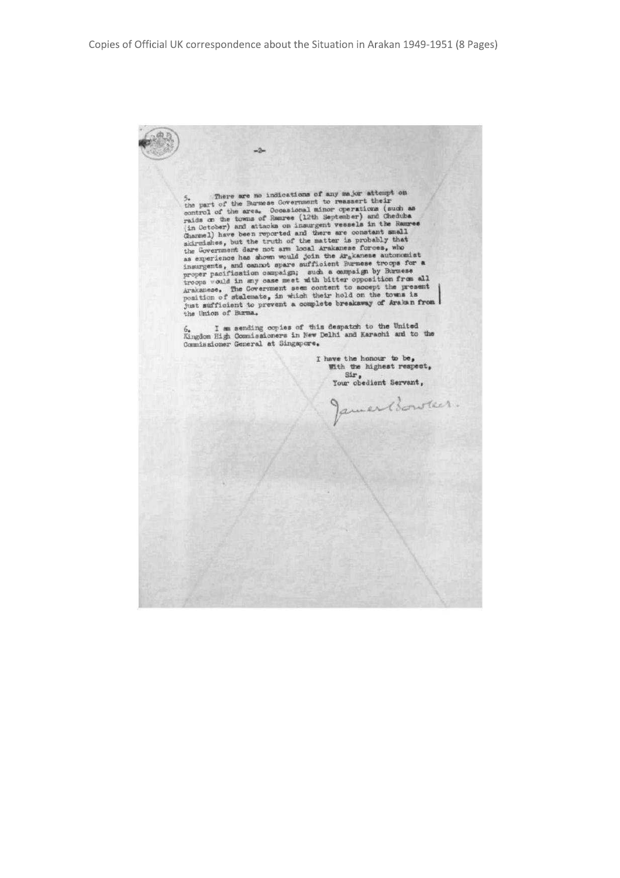$-2-$ 5. There are no indications of any major attempt on<br>the part of the Burmese Government to reassert their<br>control of the area. Occasional minor operations (such as<br>raids on the towns of Easure (12th September) and Cheduba<br>( the Union of Burma.  $6_*$  I am sending copies of this despatch to the United Kingdom High Commissioners in New Delhi and Karachi and to the Commissioner General at Singapore. I have the honour to be,  $W$ th the highest respect, Sir,<br>Your obedient Servant, amer Bowler.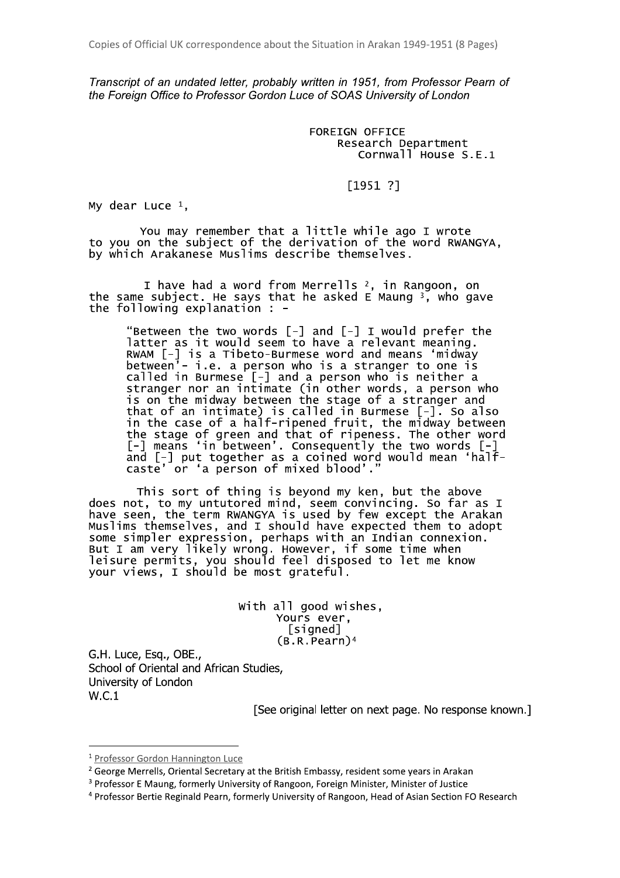Transcript of an undated letter, probably written in 1951, from Professor Pearn of the Foreign Office to Professor Gordon Luce of SOAS University of London

> **FOREIGN OFFICE** Research Department Cornwall House S.E.1

## $[1951 ?]$

My dear Luce  $1$ ,

You may remember that a little while ago I wrote to you on the subject of the derivation of the word RWANGYA, by which Arakanese Muslims describe themselves.

I have had a word from Merrells <sup>2</sup>, in Rangoon, on the same subject. He says that he asked E Maung  $3$ , who gave the following explanation : -

"Between the two words [-] and [-] I would prefer the latter as it would seem to have a relevant meaning. RWAM  $[-]$  is a Tibeto-Burmese word and means 'midway between<sup>;</sup>- i.e. a person who is a stranger to one is called in Burmese [-] and a person who is neither a stranger nor an intimate (in other words, a person who is on the midway between the stage of a stranger and that of an intimate) is called in Burmese  $[-]$ . So also in the case of a half-ripened fruit, the midway between the stage of green and that of ripeness. The other word<br>
[-] means 'in between'. Consequently the two words [-]<br>
and [-] put together as a coined word would mean 'half-<br>
caste' or 'a person of mixed blood'."

This sort of thing is beyond my ken, but the above<br>does not, to my untutored mind, seem convincing. So far as I<br>have seen, the term RWANGYA is used by few except the Arakan<br>Muslims themselves, and I should have expected th

with all good wishes, Yours ever, [signed]  $(B.R.Pearn)^4$ 

G.H. Luce, Esq., OBE., School of Oriental and African Studies. University of London  $W.C.1$ 

[See original letter on next page. No response known.]

<sup>&</sup>lt;sup>1</sup> Professor Gordon Hannington Luce

<sup>&</sup>lt;sup>2</sup> George Merrells, Oriental Secretary at the British Embassy, resident some years in Arakan

<sup>&</sup>lt;sup>3</sup> Professor E Maung, formerly University of Rangoon, Foreign Minister, Minister of Justice

<sup>&</sup>lt;sup>4</sup> Professor Bertie Reginald Pearn, formerly University of Rangoon, Head of Asian Section FO Research